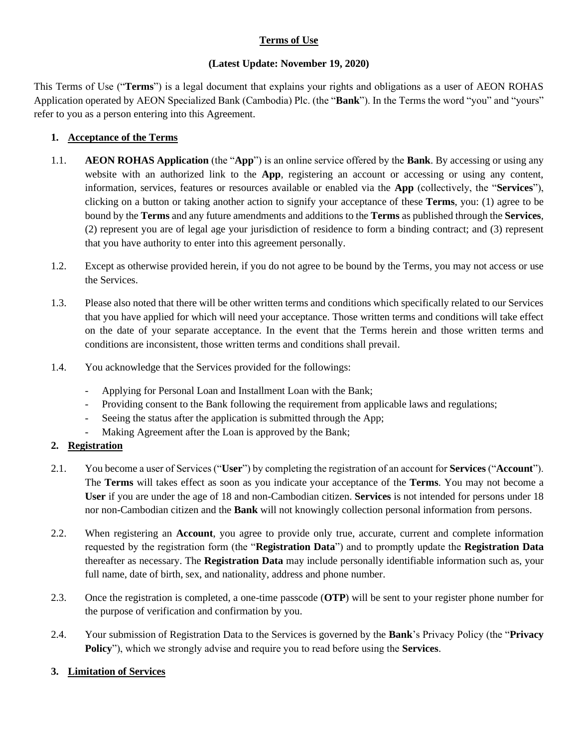# **Terms of Use**

## **(Latest Update: November 19, 2020)**

This Terms of Use ("**Terms**") is a legal document that explains your rights and obligations as a user of AEON ROHAS Application operated by AEON Specialized Bank (Cambodia) Plc. (the "**Bank**"). In the Terms the word "you" and "yours" refer to you as a person entering into this Agreement.

# **1. Acceptance of the Terms**

- 1.1. **AEON ROHAS Application** (the "**App**") is an online service offered by the **Bank**. By accessing or using any website with an authorized link to the **App**, registering an account or accessing or using any content, information, services, features or resources available or enabled via the **App** (collectively, the "**Services**"), clicking on a button or taking another action to signify your acceptance of these **Terms**, you: (1) agree to be bound by the **Terms** and any future amendments and additions to the **Terms** as published through the **Services**, (2) represent you are of legal age your jurisdiction of residence to form a binding contract; and (3) represent that you have authority to enter into this agreement personally.
- 1.2. Except as otherwise provided herein, if you do not agree to be bound by the Terms, you may not access or use the Services.
- 1.3. Please also noted that there will be other written terms and conditions which specifically related to our Services that you have applied for which will need your acceptance. Those written terms and conditions will take effect on the date of your separate acceptance. In the event that the Terms herein and those written terms and conditions are inconsistent, those written terms and conditions shall prevail.
- 1.4. You acknowledge that the Services provided for the followings:
	- Applying for Personal Loan and Installment Loan with the Bank;
	- Providing consent to the Bank following the requirement from applicable laws and regulations;
	- Seeing the status after the application is submitted through the App;
	- Making Agreement after the Loan is approved by the Bank;

## **2. Registration**

- 2.1. You become a user of Services ("**User**") by completing the registration of an account for **Services** ("**Account**"). The **Terms** will takes effect as soon as you indicate your acceptance of the **Terms**. You may not become a **User** if you are under the age of 18 and non-Cambodian citizen. **Services** is not intended for persons under 18 nor non-Cambodian citizen and the **Bank** will not knowingly collection personal information from persons.
- 2.2. When registering an **Account**, you agree to provide only true, accurate, current and complete information requested by the registration form (the "**Registration Data**") and to promptly update the **Registration Data** thereafter as necessary. The **Registration Data** may include personally identifiable information such as, your full name, date of birth, sex, and nationality, address and phone number.
- 2.3. Once the registration is completed, a one-time passcode (**OTP**) will be sent to your register phone number for the purpose of verification and confirmation by you.
- 2.4. Your submission of Registration Data to the Services is governed by the **Bank**'s Privacy Policy (the "**Privacy Policy**"), which we strongly advise and require you to read before using the **Services**.

## **3. Limitation of Services**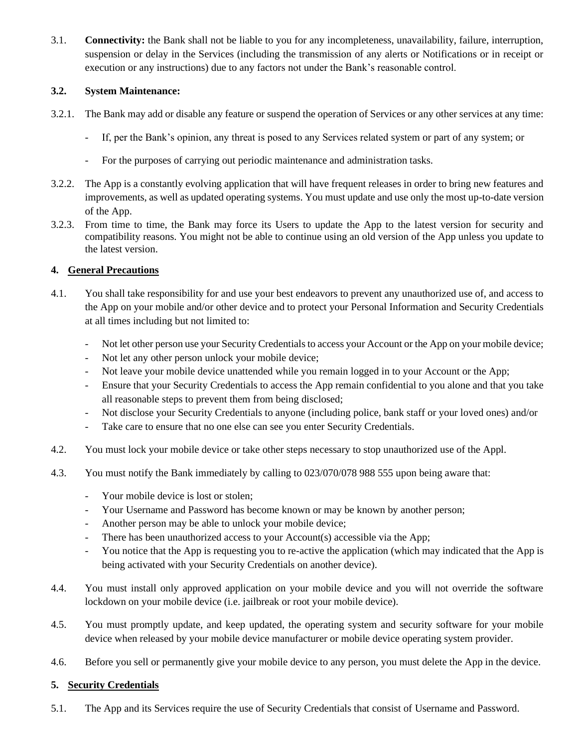3.1. **Connectivity:** the Bank shall not be liable to you for any incompleteness, unavailability, failure, interruption, suspension or delay in the Services (including the transmission of any alerts or Notifications or in receipt or execution or any instructions) due to any factors not under the Bank's reasonable control.

# **3.2. System Maintenance:**

- 3.2.1. The Bank may add or disable any feature or suspend the operation of Services or any other services at any time:
	- If, per the Bank's opinion, any threat is posed to any Services related system or part of any system; or
	- For the purposes of carrying out periodic maintenance and administration tasks.
- 3.2.2. The App is a constantly evolving application that will have frequent releases in order to bring new features and improvements, as well as updated operating systems. You must update and use only the most up-to-date version of the App.
- 3.2.3. From time to time, the Bank may force its Users to update the App to the latest version for security and compatibility reasons. You might not be able to continue using an old version of the App unless you update to the latest version.

# **4. General Precautions**

- 4.1. You shall take responsibility for and use your best endeavors to prevent any unauthorized use of, and access to the App on your mobile and/or other device and to protect your Personal Information and Security Credentials at all times including but not limited to:
	- Not let other person use your Security Credentials to access your Account or the App on your mobile device;
	- Not let any other person unlock your mobile device;
	- Not leave your mobile device unattended while you remain logged in to your Account or the App;
	- Ensure that your Security Credentials to access the App remain confidential to you alone and that you take all reasonable steps to prevent them from being disclosed;
	- Not disclose your Security Credentials to anyone (including police, bank staff or your loved ones) and/or
	- Take care to ensure that no one else can see you enter Security Credentials.
- 4.2. You must lock your mobile device or take other steps necessary to stop unauthorized use of the Appl.
- 4.3. You must notify the Bank immediately by calling to 023/070/078 988 555 upon being aware that:
	- Your mobile device is lost or stolen;
	- Your Username and Password has become known or may be known by another person;
	- Another person may be able to unlock your mobile device;
	- There has been unauthorized access to your Account(s) accessible via the App;
	- You notice that the App is requesting you to re-active the application (which may indicated that the App is being activated with your Security Credentials on another device).
- 4.4. You must install only approved application on your mobile device and you will not override the software lockdown on your mobile device (i.e. jailbreak or root your mobile device).
- 4.5. You must promptly update, and keep updated, the operating system and security software for your mobile device when released by your mobile device manufacturer or mobile device operating system provider.
- 4.6. Before you sell or permanently give your mobile device to any person, you must delete the App in the device.

# **5. Security Credentials**

5.1. The App and its Services require the use of Security Credentials that consist of Username and Password.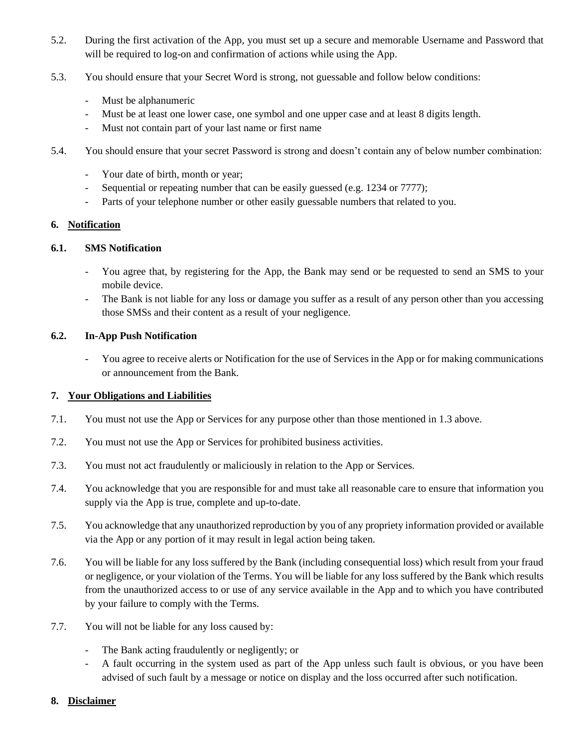- 5.2. During the first activation of the App, you must set up a secure and memorable Username and Password that will be required to log-on and confirmation of actions while using the App.
- 5.3. You should ensure that your Secret Word is strong, not guessable and follow below conditions:
	- Must be alphanumeric
	- Must be at least one lower case, one symbol and one upper case and at least 8 digits length.
	- Must not contain part of your last name or first name
- 5.4. You should ensure that your secret Password is strong and doesn't contain any of below number combination:
	- Your date of birth, month or year;
	- Sequential or repeating number that can be easily guessed (e.g. 1234 or 7777);
	- Parts of your telephone number or other easily guessable numbers that related to you.

### **6. Notification**

### **6.1. SMS Notification**

- You agree that, by registering for the App, the Bank may send or be requested to send an SMS to your mobile device.
- The Bank is not liable for any loss or damage you suffer as a result of any person other than you accessing those SMSs and their content as a result of your negligence.

### **6.2. In-App Push Notification**

- You agree to receive alerts or Notification for the use of Services in the App or for making communications or announcement from the Bank.

### **7. Your Obligations and Liabilities**

- 7.1. You must not use the App or Services for any purpose other than those mentioned in 1.3 above.
- 7.2. You must not use the App or Services for prohibited business activities.
- 7.3. You must not act fraudulently or maliciously in relation to the App or Services.
- 7.4. You acknowledge that you are responsible for and must take all reasonable care to ensure that information you supply via the App is true, complete and up-to-date.
- 7.5. You acknowledge that any unauthorized reproduction by you of any propriety information provided or available via the App or any portion of it may result in legal action being taken.
- 7.6. You will be liable for any loss suffered by the Bank (including consequential loss) which result from your fraud or negligence, or your violation of the Terms. You will be liable for any loss suffered by the Bank which results from the unauthorized access to or use of any service available in the App and to which you have contributed by your failure to comply with the Terms.
- 7.7. You will not be liable for any loss caused by:
	- The Bank acting fraudulently or negligently; or
	- A fault occurring in the system used as part of the App unless such fault is obvious, or you have been advised of such fault by a message or notice on display and the loss occurred after such notification.
- **8. Disclaimer**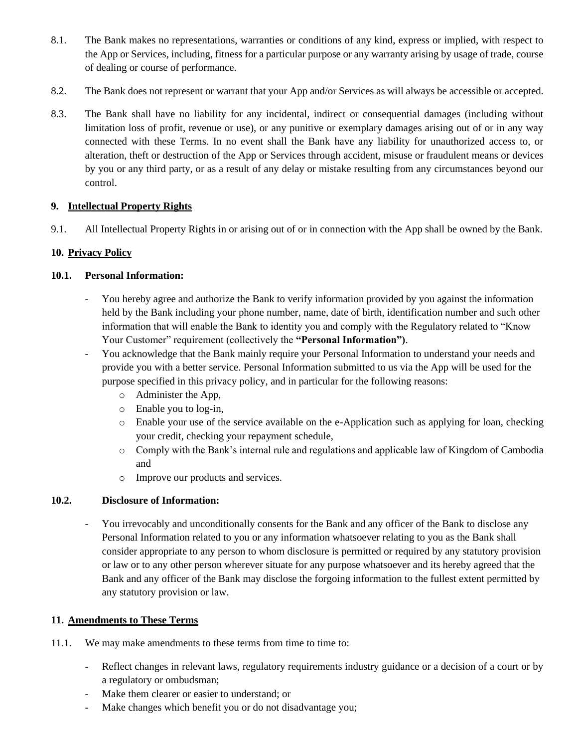- 8.1. The Bank makes no representations, warranties or conditions of any kind, express or implied, with respect to the App or Services, including, fitness for a particular purpose or any warranty arising by usage of trade, course of dealing or course of performance.
- 8.2. The Bank does not represent or warrant that your App and/or Services as will always be accessible or accepted.
- 8.3. The Bank shall have no liability for any incidental, indirect or consequential damages (including without limitation loss of profit, revenue or use), or any punitive or exemplary damages arising out of or in any way connected with these Terms. In no event shall the Bank have any liability for unauthorized access to, or alteration, theft or destruction of the App or Services through accident, misuse or fraudulent means or devices by you or any third party, or as a result of any delay or mistake resulting from any circumstances beyond our control.

# **9. Intellectual Property Rights**

9.1. All Intellectual Property Rights in or arising out of or in connection with the App shall be owned by the Bank.

# **10. Privacy Policy**

# **10.1. Personal Information:**

- You hereby agree and authorize the Bank to verify information provided by you against the information held by the Bank including your phone number, name, date of birth, identification number and such other information that will enable the Bank to identity you and comply with the Regulatory related to "Know Your Customer" requirement (collectively the **"Personal Information")**.
- You acknowledge that the Bank mainly require your Personal Information to understand your needs and provide you with a better service. Personal Information submitted to us via the App will be used for the purpose specified in this privacy policy, and in particular for the following reasons:
	- o Administer the App,
	- o Enable you to log-in,
	- o Enable your use of the service available on the e-Application such as applying for loan, checking your credit, checking your repayment schedule,
	- o Comply with the Bank's internal rule and regulations and applicable law of Kingdom of Cambodia and
	- o Improve our products and services.

## **10.2. Disclosure of Information:**

- You irrevocably and unconditionally consents for the Bank and any officer of the Bank to disclose any Personal Information related to you or any information whatsoever relating to you as the Bank shall consider appropriate to any person to whom disclosure is permitted or required by any statutory provision or law or to any other person wherever situate for any purpose whatsoever and its hereby agreed that the Bank and any officer of the Bank may disclose the forgoing information to the fullest extent permitted by any statutory provision or law.

## **11. Amendments to These Terms**

- 11.1. We may make amendments to these terms from time to time to:
	- Reflect changes in relevant laws, regulatory requirements industry guidance or a decision of a court or by a regulatory or ombudsman;
	- Make them clearer or easier to understand; or
	- Make changes which benefit you or do not disadvantage you;